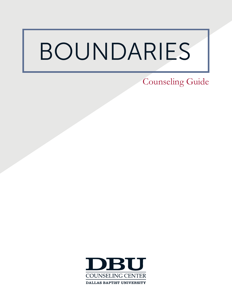# BOUNDARIES

Counseling Guide

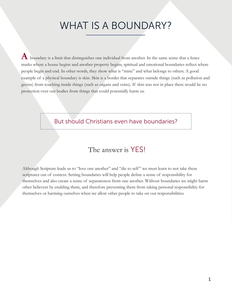## WHAT IS A BOUNDARY?

 $\bf A$  boundary is a limit that distinguishes one individual from another. In the same sense that a fence marks where a house begins and another property begins, spiritual and emotional boundaries reflect where people begin and end. In other words, they show what is "mine" and what belongs to others. A good example of a physical boundary is skin. Skin is a border that separates outside things (such as pollution and germs) from touching inside things (such as organs and veins). If skin was not in place there would be no protection over our bodies from things that could potentially harm us.

### But should Christians even have boundaries?

### The answer is YES!

Although Scripture leads us to "love one another" and "die to self " we must learn to not take these scriptures out of context. Setting boundaries will help people define a sense of responsibility for themselves and also create a sense of separateness from one another. Without boundaries we might harm other believers by enabling them, and therefore preventing them from taking personal responsibility for themselves or harming ourselves when we allow other people to take on our responsibilities.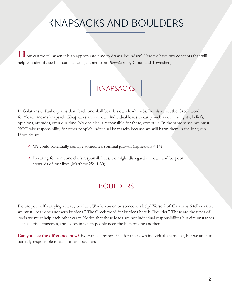# KNAPSACKS AND BOULDERS

**H**ow can we tell when it is an appropirate time to draw a boundary? Here we have two concepts that will help you identify such circumstances (adapted from *Boundaries* by Cloud and Townshed)

### **KNAPSACKS**

In Galatians 6, Paul explains that "each one shall bear his own load" (v.5). In this verse, the Greek word for "load" means knapsack. Knapsacks are our own individual loads to carry such as our thoughts, beliefs, opinions, attitudes, even our time. No one else is responsible for these, except us. In the same sense, we must NOT take responsibility for other people's individual knapsacks because we will harm them in the long run. If we do so:

- We could potentially damage someone's spiritual growth (Ephesians 4:14)
- In caring for someone else's responsibilities, we might disregard our own and be poor stewards of our lives (Matthew 25:14-30)

### BOULDERS

Picture yourself carrying a heavy boulder. Would you enjoy someone's help? Verse 2 of Galatians 6 tells us that we must "bear one another's burdens." The Greek word for burdens here is "boulder." These are the types of loads we must help each other carry. Notice that these loads are not individual responsibilites but circumstances such as crisis, tragedies, and losses in which people need the help of one another.

**Can you see the difference now?** Everyone is responsible for their own individual knapsacks, but we are also partially responsible to each other's boulders.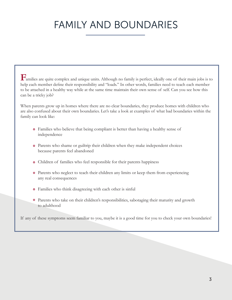# FAMILY AND BOUNDARIES

**F**amilies are quite complex and unique units. Although no family is perfect, ideally one of their main jobs is to help each member define their responsibility and "loads." In other words, families need to teach each member to be attached in a healthy way while at the same time maintain their own sense of self. Can you see how this can be a tricky job?

When parents grow up in homes where there are no clear boundaries, they produce homes with children who are also confused about their own boundaries. Let's take a look at examples of what bad boundaries within the family can look like:

- Families who believe that being compliant is better than having a healthy sense of independence
- Parents who shame or guiltrip their children when they make independent choices because parents feel abandoned
- Children of families who feel responsible for their parents happiness
- Parents who neglect to teach their children any limits or keep them from experiencing any real consequences
- Families who think disagreeing with each other is sinful
- Parents who take on their children's responsibilities, sabotaging their maturity and growth to adulthood

If any of these symptoms seem familiar to you, maybe it is a good time for you to check your own boundaries!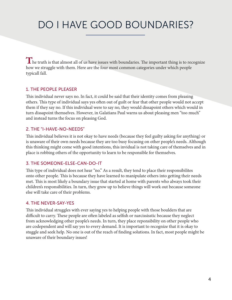# DO I HAVE GOOD BOUNDARIES?

The truth is that almost all of us have issues with boundaries. The important thing is to recognize how we struggle with them. Here are the four most common categories under which people typicall fall.

#### 1. THE PEOPLE PLEASER

This individual never says no. In fact, it could be said that their identity comes from pleasing others. This type of individual says yes often out of guilt or fear that other people would not accept them if they say no. If this individual were to say no, they would dissapoint others which would in turn dissapoint themselves. However, in Galatians Paul warns us about pleasing men "too much" and instead turns the focus on pleasing God.

#### 2. THE "I-HAVE-NO-NEEDS"

This individual believes it is not okay to have needs (because they feel guilty asking for anything) or is unaware of their own needs because they are too busy focusing on other people's needs. Although this thinking might come with good intentions, this invidual is not taking care of themselves and in place is robbing others of the opportunity to learn to be responsible for themselves.

#### 3. THE SOMEONE-ELSE-CAN-DO-IT

This type of individual does not hear "no." As a result, they tend to place their responsibilites onto other people. This is because they have learned to manipulate others into getting their needs met. This is most likely a boundary issue that started at home with parents who always took their children's responsibilities. In turn, they grow up to believe things will work out because someone else will take care of their problems.

#### 4. THE NEVER-SAY-YES

This individual struggles with ever saying yes to helping people with those boulders that are difficult to carry. These people are often labeled as selfish or narcississtic because they neglect from acknowledging other people's needs. In turn, they place reponsibility on other people who are codependent and will say yes to every demand. It is important to recognize that it is okay to stuggle and seek help. No one is out of the reach of finding solutions. In fact, most people might be unaware of their boundary issues!